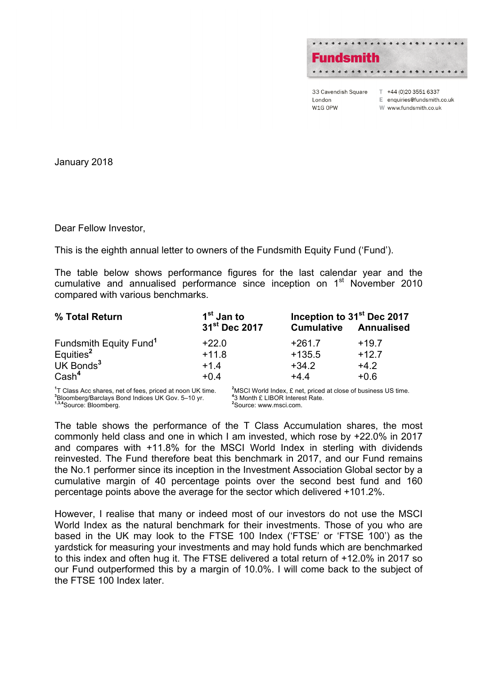

London W<sub>1G</sub> OPW

33 Cavendish Square T +44 (0) 20 3551 6337 E enquiries@fundsmith.co.uk

W www.fundsmith.co.uk

January 2018

Dear Fellow Investor,

This is the eighth annual letter to owners of the Fundsmith Equity Fund ('Fund').

The table below shows performance figures for the last calendar year and the cumulative and annualised performance since inception on 1st November 2010 compared with various benchmarks.

| % Total Return                                                 | 1 <sup>st</sup> Jan to    | Inception to 31 <sup>st</sup> Dec 2017                             |                   |  |  |
|----------------------------------------------------------------|---------------------------|--------------------------------------------------------------------|-------------------|--|--|
|                                                                | 31 <sup>st</sup> Dec 2017 | <b>Cumulative</b>                                                  | <b>Annualised</b> |  |  |
| Fundsmith Equity Fund <sup>1</sup>                             | $+22.0$                   | $+261.7$                                                           | $+19.7$           |  |  |
| Equities <sup>2</sup>                                          | $+11.8$                   | $+135.5$                                                           | $+12.7$           |  |  |
| UK Bonds <sup>3</sup>                                          | $+1.4$                    | $+34.2$                                                            | $+4.2$            |  |  |
| Cash <sup>4</sup>                                              | $+0.4$                    | $+4.4$                                                             | $+0.6$            |  |  |
| $1\pi$ Close, Ass shores, not of foos, priced at nean LIV time |                           | $^{2}$ MCCLWorld Indov. C not prioad at along of business LIC time |                   |  |  |

T Class Acc shares, net of fees, priced at noon UK time. <sup>2</sup>MSCI World Index, £ net, priced<br>Bloomberg/Barclays Bond Indices UK Gov. 5–10 yr. <sup>4</sup>3 Month £ LIBOR Interest Rate. <sup>3</sup>Bloomberg/Barclays Bond Indices UK Gov. 5–10 yr. **1989** Month £ LIBOR Interest Rate.<br><sup>1,3,4</sup>Source: Bloomberg. **2** 

MSCI World Index, £ net, priced at close of business US time. **<sup>3</sup>** Source: www.msci.com.

The table shows the performance of the T Class Accumulation shares, the most commonly held class and one in which I am invested, which rose by +22.0% in 2017 and compares with +11.8% for the MSCI World Index in sterling with dividends reinvested. The Fund therefore beat this benchmark in 2017, and our Fund remains the No.1 performer since its inception in the Investment Association Global sector by a cumulative margin of 40 percentage points over the second best fund and 160 percentage points above the average for the sector which delivered +101.2%.

However, I realise that many or indeed most of our investors do not use the MSCI World Index as the natural benchmark for their investments. Those of you who are based in the UK may look to the FTSE 100 Index ('FTSE' or 'FTSE 100') as the yardstick for measuring your investments and may hold funds which are benchmarked to this index and often hug it. The FTSE delivered a total return of +12.0% in 2017 so our Fund outperformed this by a margin of 10.0%. I will come back to the subject of the FTSE 100 Index later.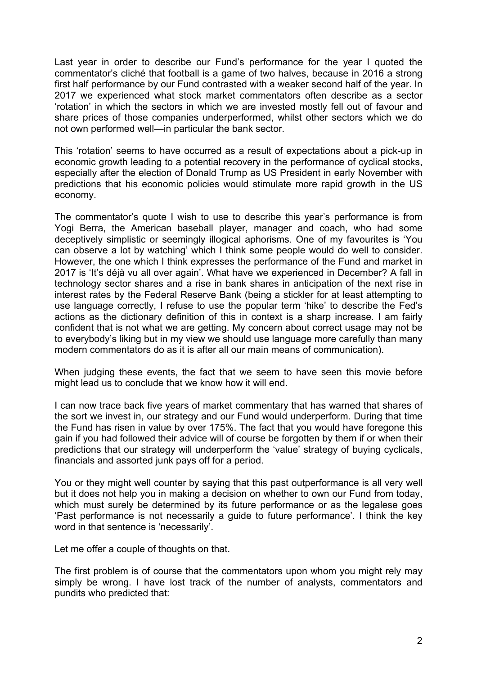Last year in order to describe our Fund's performance for the year I quoted the commentator's cliché that football is a game of two halves, because in 2016 a strong first half performance by our Fund contrasted with a weaker second half of the year. In 2017 we experienced what stock market commentators often describe as a sector 'rotation' in which the sectors in which we are invested mostly fell out of favour and share prices of those companies underperformed, whilst other sectors which we do not own performed well—in particular the bank sector.

This 'rotation' seems to have occurred as a result of expectations about a pick-up in economic growth leading to a potential recovery in the performance of cyclical stocks, especially after the election of Donald Trump as US President in early November with predictions that his economic policies would stimulate more rapid growth in the US economy.

The commentator's quote I wish to use to describe this year's performance is from Yogi Berra, the American baseball player, manager and coach, who had some deceptively simplistic or seemingly illogical aphorisms. One of my favourites is 'You can observe a lot by watching' which I think some people would do well to consider. However, the one which I think expresses the performance of the Fund and market in 2017 is 'It's déjà vu all over again'. What have we experienced in December? A fall in technology sector shares and a rise in bank shares in anticipation of the next rise in interest rates by the Federal Reserve Bank (being a stickler for at least attempting to use language correctly, I refuse to use the popular term 'hike' to describe the Fed's actions as the dictionary definition of this in context is a sharp increase. I am fairly confident that is not what we are getting. My concern about correct usage may not be to everybody's liking but in my view we should use language more carefully than many modern commentators do as it is after all our main means of communication).

When judging these events, the fact that we seem to have seen this movie before might lead us to conclude that we know how it will end.

I can now trace back five years of market commentary that has warned that shares of the sort we invest in, our strategy and our Fund would underperform. During that time the Fund has risen in value by over 175%. The fact that you would have foregone this gain if you had followed their advice will of course be forgotten by them if or when their predictions that our strategy will underperform the 'value' strategy of buying cyclicals, financials and assorted junk pays off for a period.

You or they might well counter by saying that this past outperformance is all very well but it does not help you in making a decision on whether to own our Fund from today, which must surely be determined by its future performance or as the legalese goes 'Past performance is not necessarily a guide to future performance'. I think the key word in that sentence is 'necessarily'.

Let me offer a couple of thoughts on that.

The first problem is of course that the commentators upon whom you might rely may simply be wrong. I have lost track of the number of analysts, commentators and pundits who predicted that: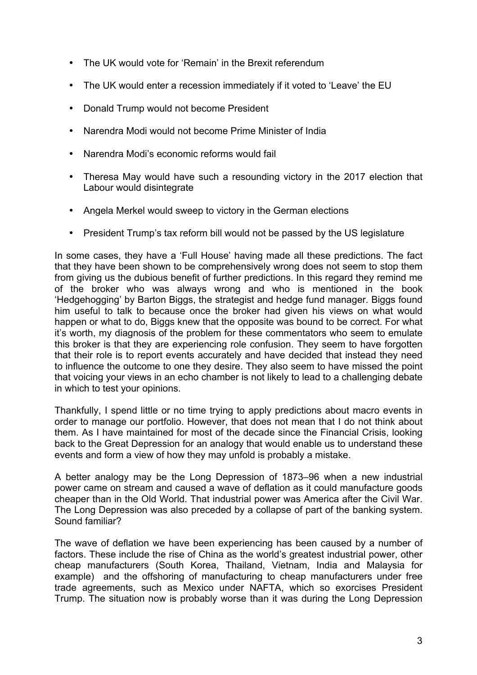- The UK would vote for 'Remain' in the Brexit referendum
- The UK would enter a recession immediately if it voted to 'Leave' the EU
- Donald Trump would not become President
- Narendra Modi would not become Prime Minister of India
- Narendra Modi's economic reforms would fail
- Theresa May would have such a resounding victory in the 2017 election that Labour would disintegrate
- Angela Merkel would sweep to victory in the German elections
- President Trump's tax reform bill would not be passed by the US legislature

In some cases, they have a 'Full House' having made all these predictions. The fact that they have been shown to be comprehensively wrong does not seem to stop them from giving us the dubious benefit of further predictions. In this regard they remind me of the broker who was always wrong and who is mentioned in the book 'Hedgehogging' by Barton Biggs, the strategist and hedge fund manager. Biggs found him useful to talk to because once the broker had given his views on what would happen or what to do. Biggs knew that the opposite was bound to be correct. For what it's worth, my diagnosis of the problem for these commentators who seem to emulate this broker is that they are experiencing role confusion. They seem to have forgotten that their role is to report events accurately and have decided that instead they need to influence the outcome to one they desire. They also seem to have missed the point that voicing your views in an echo chamber is not likely to lead to a challenging debate in which to test your opinions.

Thankfully, I spend little or no time trying to apply predictions about macro events in order to manage our portfolio. However, that does not mean that I do not think about them. As I have maintained for most of the decade since the Financial Crisis, looking back to the Great Depression for an analogy that would enable us to understand these events and form a view of how they may unfold is probably a mistake.

A better analogy may be the Long Depression of 1873–96 when a new industrial power came on stream and caused a wave of deflation as it could manufacture goods cheaper than in the Old World. That industrial power was America after the Civil War. The Long Depression was also preceded by a collapse of part of the banking system. Sound familiar?

The wave of deflation we have been experiencing has been caused by a number of factors. These include the rise of China as the world's greatest industrial power, other cheap manufacturers (South Korea, Thailand, Vietnam, India and Malaysia for example) and the offshoring of manufacturing to cheap manufacturers under free trade agreements, such as Mexico under NAFTA, which so exorcises President Trump. The situation now is probably worse than it was during the Long Depression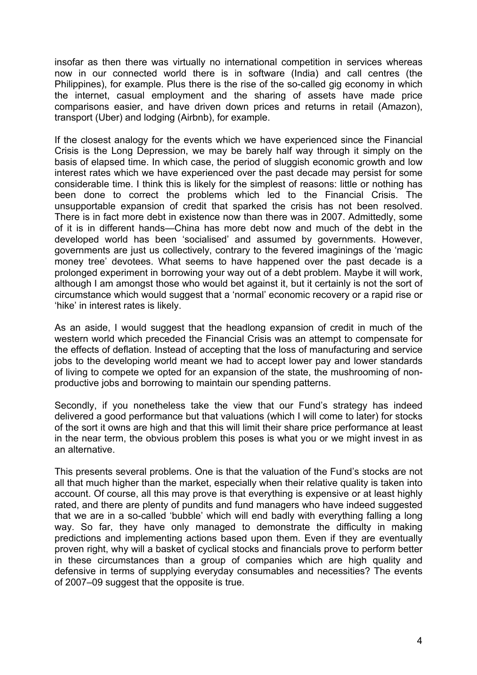insofar as then there was virtually no international competition in services whereas now in our connected world there is in software (India) and call centres (the Philippines), for example. Plus there is the rise of the so-called gig economy in which the internet, casual employment and the sharing of assets have made price comparisons easier, and have driven down prices and returns in retail (Amazon), transport (Uber) and lodging (Airbnb), for example.

If the closest analogy for the events which we have experienced since the Financial Crisis is the Long Depression, we may be barely half way through it simply on the basis of elapsed time. In which case, the period of sluggish economic growth and low interest rates which we have experienced over the past decade may persist for some considerable time. I think this is likely for the simplest of reasons: little or nothing has been done to correct the problems which led to the Financial Crisis. The unsupportable expansion of credit that sparked the crisis has not been resolved. There is in fact more debt in existence now than there was in 2007. Admittedly, some of it is in different hands—China has more debt now and much of the debt in the developed world has been 'socialised' and assumed by governments. However, governments are just us collectively, contrary to the fevered imaginings of the 'magic money tree' devotees. What seems to have happened over the past decade is a prolonged experiment in borrowing your way out of a debt problem. Maybe it will work, although I am amongst those who would bet against it, but it certainly is not the sort of circumstance which would suggest that a 'normal' economic recovery or a rapid rise or 'hike' in interest rates is likely.

As an aside, I would suggest that the headlong expansion of credit in much of the western world which preceded the Financial Crisis was an attempt to compensate for the effects of deflation. Instead of accepting that the loss of manufacturing and service jobs to the developing world meant we had to accept lower pay and lower standards of living to compete we opted for an expansion of the state, the mushrooming of nonproductive jobs and borrowing to maintain our spending patterns.

Secondly, if you nonetheless take the view that our Fund's strategy has indeed delivered a good performance but that valuations (which I will come to later) for stocks of the sort it owns are high and that this will limit their share price performance at least in the near term, the obvious problem this poses is what you or we might invest in as an alternative.

This presents several problems. One is that the valuation of the Fund's stocks are not all that much higher than the market, especially when their relative quality is taken into account. Of course, all this may prove is that everything is expensive or at least highly rated, and there are plenty of pundits and fund managers who have indeed suggested that we are in a so-called 'bubble' which will end badly with everything falling a long way. So far, they have only managed to demonstrate the difficulty in making predictions and implementing actions based upon them. Even if they are eventually proven right, why will a basket of cyclical stocks and financials prove to perform better in these circumstances than a group of companies which are high quality and defensive in terms of supplying everyday consumables and necessities? The events of 2007–09 suggest that the opposite is true.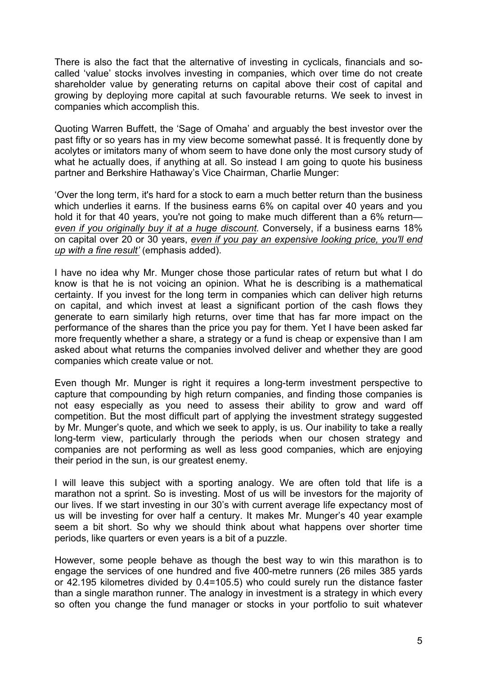There is also the fact that the alternative of investing in cyclicals, financials and socalled 'value' stocks involves investing in companies, which over time do not create shareholder value by generating returns on capital above their cost of capital and growing by deploying more capital at such favourable returns. We seek to invest in companies which accomplish this.

Quoting Warren Buffett, the 'Sage of Omaha' and arguably the best investor over the past fifty or so years has in my view become somewhat passé. It is frequently done by acolytes or imitators many of whom seem to have done only the most cursory study of what he actually does, if anything at all. So instead I am going to quote his business partner and Berkshire Hathaway's Vice Chairman, Charlie Munger:

'Over the long term, it's hard for a stock to earn a much better return than the business which underlies it earns. If the business earns 6% on capital over 40 years and you hold it for that 40 years, you're not going to make much different than a 6% return *even if you originally buy it at a huge discount.* Conversely, if a business earns 18% on capital over 20 or 30 years, *even if you pay an expensive looking price, you'll end up with a fine result'* (emphasis added).

I have no idea why Mr. Munger chose those particular rates of return but what I do know is that he is not voicing an opinion. What he is describing is a mathematical certainty. If you invest for the long term in companies which can deliver high returns on capital, and which invest at least a significant portion of the cash flows they generate to earn similarly high returns, over time that has far more impact on the performance of the shares than the price you pay for them. Yet I have been asked far more frequently whether a share, a strategy or a fund is cheap or expensive than I am asked about what returns the companies involved deliver and whether they are good companies which create value or not.

Even though Mr. Munger is right it requires a long-term investment perspective to capture that compounding by high return companies, and finding those companies is not easy especially as you need to assess their ability to grow and ward off competition. But the most difficult part of applying the investment strategy suggested by Mr. Munger's quote, and which we seek to apply, is us. Our inability to take a really long-term view, particularly through the periods when our chosen strategy and companies are not performing as well as less good companies, which are enjoying their period in the sun, is our greatest enemy.

I will leave this subject with a sporting analogy. We are often told that life is a marathon not a sprint. So is investing. Most of us will be investors for the majority of our lives. If we start investing in our 30's with current average life expectancy most of us will be investing for over half a century. It makes Mr. Munger's 40 year example seem a bit short. So why we should think about what happens over shorter time periods, like quarters or even years is a bit of a puzzle.

However, some people behave as though the best way to win this marathon is to engage the services of one hundred and five 400-metre runners (26 miles 385 yards or 42.195 kilometres divided by 0.4=105.5) who could surely run the distance faster than a single marathon runner. The analogy in investment is a strategy in which every so often you change the fund manager or stocks in your portfolio to suit whatever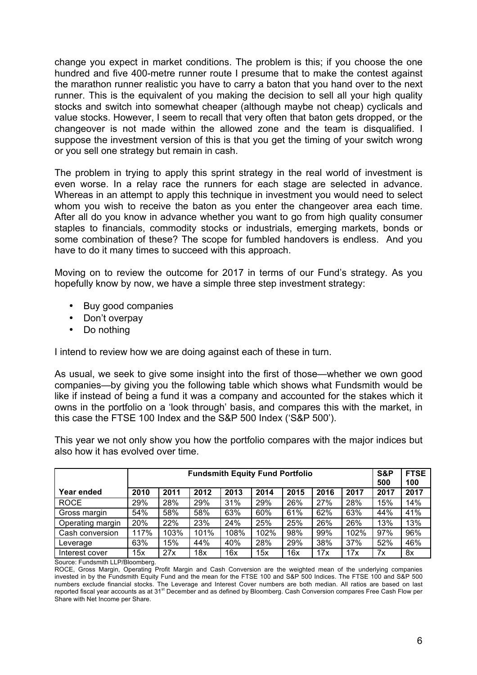change you expect in market conditions. The problem is this; if you choose the one hundred and five 400-metre runner route I presume that to make the contest against the marathon runner realistic you have to carry a baton that you hand over to the next runner. This is the equivalent of you making the decision to sell all your high quality stocks and switch into somewhat cheaper (although maybe not cheap) cyclicals and value stocks. However, I seem to recall that very often that baton gets dropped, or the changeover is not made within the allowed zone and the team is disqualified. I suppose the investment version of this is that you get the timing of your switch wrong or you sell one strategy but remain in cash.

The problem in trying to apply this sprint strategy in the real world of investment is even worse. In a relay race the runners for each stage are selected in advance. Whereas in an attempt to apply this technique in investment you would need to select whom you wish to receive the baton as you enter the changeover area each time. After all do you know in advance whether you want to go from high quality consumer staples to financials, commodity stocks or industrials, emerging markets, bonds or some combination of these? The scope for fumbled handovers is endless. And you have to do it many times to succeed with this approach.

Moving on to review the outcome for 2017 in terms of our Fund's strategy. As you hopefully know by now, we have a simple three step investment strategy:

- Buy good companies
- Don't overpay
- Do nothing

I intend to review how we are doing against each of these in turn.

As usual, we seek to give some insight into the first of those—whether we own good companies—by giving you the following table which shows what Fundsmith would be like if instead of being a fund it was a company and accounted for the stakes which it owns in the portfolio on a 'look through' basis, and compares this with the market, in this case the FTSE 100 Index and the S&P 500 Index ('S&P 500').

This year we not only show you how the portfolio compares with the major indices but also how it has evolved over time.

|                  | <b>Fundsmith Equity Fund Portfolio</b> |      |      |      |      | S&P<br>500 | <b>FTSE</b><br>100 |      |      |      |
|------------------|----------------------------------------|------|------|------|------|------------|--------------------|------|------|------|
| Year ended       | 2010                                   | 2011 | 2012 | 2013 | 2014 | 2015       | 2016               | 2017 | 2017 | 2017 |
| <b>ROCE</b>      | 29%                                    | 28%  | 29%  | 31%  | 29%  | 26%        | 27%                | 28%  | 15%  | 14%  |
| Gross margin     | 54%                                    | 58%  | 58%  | 63%  | 60%  | 61%        | 62%                | 63%  | 44%  | 41%  |
| Operating margin | 20%                                    | 22%  | 23%  | 24%  | 25%  | 25%        | 26%                | 26%  | 13%  | 13%  |
| Cash conversion  | 117%                                   | 103% | 101% | 108% | 102% | 98%        | 99%                | 102% | 97%  | 96%  |
| Leverage         | 63%                                    | 15%  | 44%  | 40%  | 28%  | 29%        | 38%                | 37%  | 52%  | 46%  |
| Interest cover   | 15x                                    | 27x  | 18x  | 16x  | 15x  | 16x        | 17x                | 17x  | 7x   | 8x   |

Source: Fundsmith LLP/Bloomberg.

ROCE, Gross Margin, Operating Profit Margin and Cash Conversion are the weighted mean of the underlying companies invested in by the Fundsmith Equity Fund and the mean for the FTSE 100 and S&P 500 Indices. The FTSE 100 and S&P 500 numbers exclude financial stocks. The Leverage and Interest Cover numbers are both median. All ratios are based on last reported fiscal year accounts as at 31<sup>st</sup> December and as defined by Bloomberg. Cash Conversion compares Free Cash Flow per Share with Net Income per Share.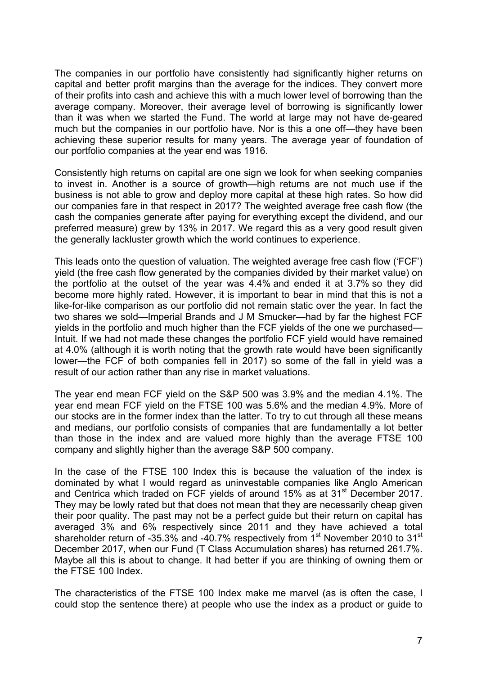The companies in our portfolio have consistently had significantly higher returns on capital and better profit margins than the average for the indices. They convert more of their profits into cash and achieve this with a much lower level of borrowing than the average company. Moreover, their average level of borrowing is significantly lower than it was when we started the Fund. The world at large may not have de-geared much but the companies in our portfolio have. Nor is this a one off—they have been achieving these superior results for many years. The average year of foundation of our portfolio companies at the year end was 1916.

Consistently high returns on capital are one sign we look for when seeking companies to invest in. Another is a source of growth—high returns are not much use if the business is not able to grow and deploy more capital at these high rates. So how did our companies fare in that respect in 2017? The weighted average free cash flow (the cash the companies generate after paying for everything except the dividend, and our preferred measure) grew by 13% in 2017. We regard this as a very good result given the generally lackluster growth which the world continues to experience.

This leads onto the question of valuation. The weighted average free cash flow ('FCF') yield (the free cash flow generated by the companies divided by their market value) on the portfolio at the outset of the year was 4.4% and ended it at 3.7% so they did become more highly rated. However, it is important to bear in mind that this is not a like-for-like comparison as our portfolio did not remain static over the year. In fact the two shares we sold—Imperial Brands and J M Smucker—had by far the highest FCF yields in the portfolio and much higher than the FCF yields of the one we purchased— Intuit. If we had not made these changes the portfolio FCF yield would have remained at 4.0% (although it is worth noting that the growth rate would have been significantly lower—the FCF of both companies fell in 2017) so some of the fall in yield was a result of our action rather than any rise in market valuations.

The year end mean FCF yield on the S&P 500 was 3.9% and the median 4.1%. The year end mean FCF yield on the FTSE 100 was 5.6% and the median 4.9%. More of our stocks are in the former index than the latter. To try to cut through all these means and medians, our portfolio consists of companies that are fundamentally a lot better than those in the index and are valued more highly than the average FTSE 100 company and slightly higher than the average S&P 500 company.

In the case of the FTSE 100 Index this is because the valuation of the index is dominated by what I would regard as uninvestable companies like Anglo American and Centrica which traded on FCF yields of around 15% as at 31<sup>st</sup> December 2017. They may be lowly rated but that does not mean that they are necessarily cheap given their poor quality. The past may not be a perfect guide but their return on capital has averaged 3% and 6% respectively since 2011 and they have achieved a total shareholder return of -35.3% and -40.7% respectively from 1<sup>st</sup> November 2010 to 31<sup>st</sup> December 2017, when our Fund (T Class Accumulation shares) has returned 261.7%. Maybe all this is about to change. It had better if you are thinking of owning them or the FTSE 100 Index.

The characteristics of the FTSE 100 Index make me marvel (as is often the case, I could stop the sentence there) at people who use the index as a product or guide to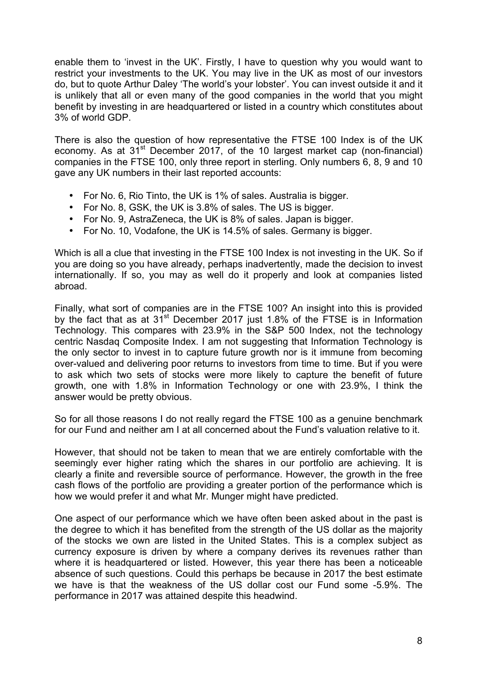enable them to 'invest in the UK'. Firstly, I have to question why you would want to restrict your investments to the UK. You may live in the UK as most of our investors do, but to quote Arthur Daley 'The world's your lobster'. You can invest outside it and it is unlikely that all or even many of the good companies in the world that you might benefit by investing in are headquartered or listed in a country which constitutes about 3% of world GDP.

There is also the question of how representative the FTSE 100 Index is of the UK economy. As at  $31<sup>st</sup>$  December 2017, of the 10 largest market cap (non-financial) companies in the FTSE 100, only three report in sterling. Only numbers 6, 8, 9 and 10 gave any UK numbers in their last reported accounts:

- For No. 6, Rio Tinto, the UK is 1% of sales. Australia is bigger.
- For No. 8, GSK, the UK is 3.8% of sales. The US is bigger.
- For No. 9, AstraZeneca, the UK is 8% of sales. Japan is bigger.
- For No. 10, Vodafone, the UK is 14.5% of sales. Germany is bigger.

Which is all a clue that investing in the FTSE 100 Index is not investing in the UK. So if you are doing so you have already, perhaps inadvertently, made the decision to invest internationally. If so, you may as well do it properly and look at companies listed abroad.

Finally, what sort of companies are in the FTSE 100? An insight into this is provided by the fact that as at  $31<sup>st</sup>$  December 2017 just 1.8% of the FTSE is in Information Technology. This compares with 23.9% in the S&P 500 Index, not the technology centric Nasdaq Composite Index. I am not suggesting that Information Technology is the only sector to invest in to capture future growth nor is it immune from becoming over-valued and delivering poor returns to investors from time to time. But if you were to ask which two sets of stocks were more likely to capture the benefit of future growth, one with 1.8% in Information Technology or one with 23.9%, I think the answer would be pretty obvious.

So for all those reasons I do not really regard the FTSE 100 as a genuine benchmark for our Fund and neither am I at all concerned about the Fund's valuation relative to it.

However, that should not be taken to mean that we are entirely comfortable with the seemingly ever higher rating which the shares in our portfolio are achieving. It is clearly a finite and reversible source of performance. However, the growth in the free cash flows of the portfolio are providing a greater portion of the performance which is how we would prefer it and what Mr. Munger might have predicted.

One aspect of our performance which we have often been asked about in the past is the degree to which it has benefited from the strength of the US dollar as the majority of the stocks we own are listed in the United States. This is a complex subject as currency exposure is driven by where a company derives its revenues rather than where it is headquartered or listed. However, this year there has been a noticeable absence of such questions. Could this perhaps be because in 2017 the best estimate we have is that the weakness of the US dollar cost our Fund some -5.9%. The performance in 2017 was attained despite this headwind.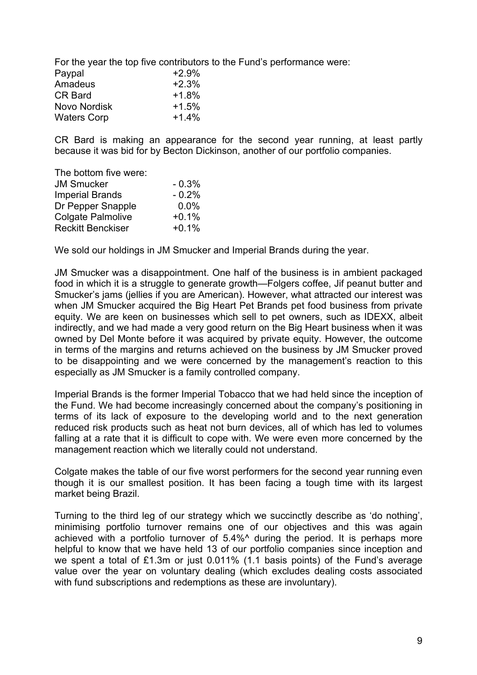For the year the top five contributors to the Fund's performance were:

| Paypal             | $+2.9%$ |
|--------------------|---------|
| Amadeus            | $+2.3%$ |
| CR Bard            | $+1.8%$ |
| Novo Nordisk       | $+1.5%$ |
| <b>Waters Corp</b> | $+1.4%$ |

CR Bard is making an appearance for the second year running, at least partly because it was bid for by Becton Dickinson, another of our portfolio companies.

The bottom five were: JM Smucker - 0.3% Imperial Brands - 0.2% Dr Pepper Snapple 0.0% Colgate Palmolive  $+0.1\%$ Reckitt Benckiser +0.1%

We sold our holdings in JM Smucker and Imperial Brands during the year.

JM Smucker was a disappointment. One half of the business is in ambient packaged food in which it is a struggle to generate growth—Folgers coffee, Jif peanut butter and Smucker's jams (jellies if you are American). However, what attracted our interest was when JM Smucker acquired the Big Heart Pet Brands pet food business from private equity. We are keen on businesses which sell to pet owners, such as IDEXX, albeit indirectly, and we had made a very good return on the Big Heart business when it was owned by Del Monte before it was acquired by private equity. However, the outcome in terms of the margins and returns achieved on the business by JM Smucker proved to be disappointing and we were concerned by the management's reaction to this especially as JM Smucker is a family controlled company.

Imperial Brands is the former Imperial Tobacco that we had held since the inception of the Fund. We had become increasingly concerned about the company's positioning in terms of its lack of exposure to the developing world and to the next generation reduced risk products such as heat not burn devices, all of which has led to volumes falling at a rate that it is difficult to cope with. We were even more concerned by the management reaction which we literally could not understand.

Colgate makes the table of our five worst performers for the second year running even though it is our smallest position. It has been facing a tough time with its largest market being Brazil.

Turning to the third leg of our strategy which we succinctly describe as 'do nothing', minimising portfolio turnover remains one of our objectives and this was again achieved with a portfolio turnover of 5.4%^ during the period. It is perhaps more helpful to know that we have held 13 of our portfolio companies since inception and we spent a total of £1.3m or just 0.011% (1.1 basis points) of the Fund's average value over the year on voluntary dealing (which excludes dealing costs associated with fund subscriptions and redemptions as these are involuntary).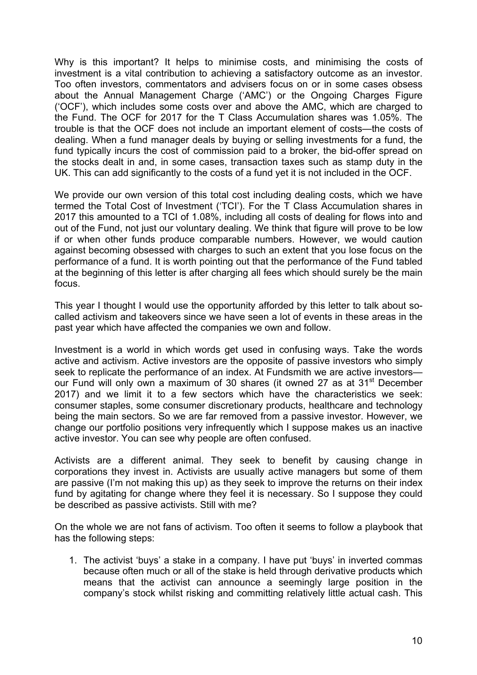Why is this important? It helps to minimise costs, and minimising the costs of investment is a vital contribution to achieving a satisfactory outcome as an investor. Too often investors, commentators and advisers focus on or in some cases obsess about the Annual Management Charge ('AMC') or the Ongoing Charges Figure ('OCF'), which includes some costs over and above the AMC, which are charged to the Fund. The OCF for 2017 for the T Class Accumulation shares was 1.05%. The trouble is that the OCF does not include an important element of costs—the costs of dealing. When a fund manager deals by buying or selling investments for a fund, the fund typically incurs the cost of commission paid to a broker, the bid-offer spread on the stocks dealt in and, in some cases, transaction taxes such as stamp duty in the UK. This can add significantly to the costs of a fund yet it is not included in the OCF.

We provide our own version of this total cost including dealing costs, which we have termed the Total Cost of Investment ('TCI'). For the T Class Accumulation shares in 2017 this amounted to a TCI of 1.08%, including all costs of dealing for flows into and out of the Fund, not just our voluntary dealing. We think that figure will prove to be low if or when other funds produce comparable numbers. However, we would caution against becoming obsessed with charges to such an extent that you lose focus on the performance of a fund. It is worth pointing out that the performance of the Fund tabled at the beginning of this letter is after charging all fees which should surely be the main focus.

This year I thought I would use the opportunity afforded by this letter to talk about socalled activism and takeovers since we have seen a lot of events in these areas in the past year which have affected the companies we own and follow.

Investment is a world in which words get used in confusing ways. Take the words active and activism. Active investors are the opposite of passive investors who simply seek to replicate the performance of an index. At Fundsmith we are active investors our Fund will only own a maximum of 30 shares (it owned 27 as at 31<sup>st</sup> December 2017) and we limit it to a few sectors which have the characteristics we seek: consumer staples, some consumer discretionary products, healthcare and technology being the main sectors. So we are far removed from a passive investor. However, we change our portfolio positions very infrequently which I suppose makes us an inactive active investor. You can see why people are often confused.

Activists are a different animal. They seek to benefit by causing change in corporations they invest in. Activists are usually active managers but some of them are passive (I'm not making this up) as they seek to improve the returns on their index fund by agitating for change where they feel it is necessary. So I suppose they could be described as passive activists. Still with me?

On the whole we are not fans of activism. Too often it seems to follow a playbook that has the following steps:

1. The activist 'buys' a stake in a company. I have put 'buys' in inverted commas because often much or all of the stake is held through derivative products which means that the activist can announce a seemingly large position in the company's stock whilst risking and committing relatively little actual cash. This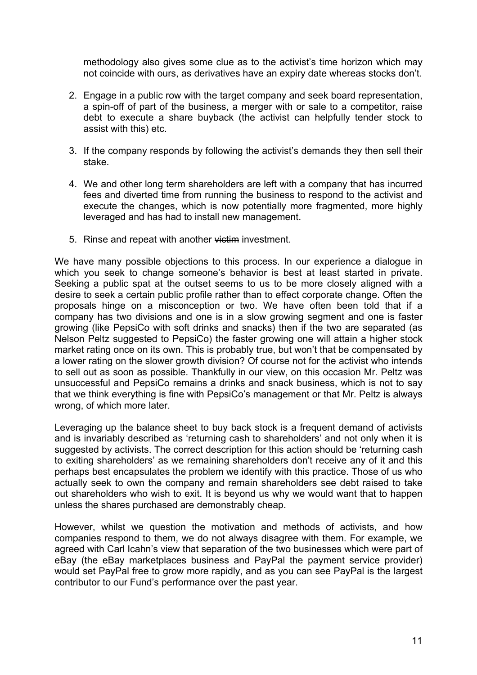methodology also gives some clue as to the activist's time horizon which may not coincide with ours, as derivatives have an expiry date whereas stocks don't.

- 2. Engage in a public row with the target company and seek board representation, a spin-off of part of the business, a merger with or sale to a competitor, raise debt to execute a share buyback (the activist can helpfully tender stock to assist with this) etc.
- 3. If the company responds by following the activist's demands they then sell their stake.
- 4. We and other long term shareholders are left with a company that has incurred fees and diverted time from running the business to respond to the activist and execute the changes, which is now potentially more fragmented, more highly leveraged and has had to install new management.
- 5. Rinse and repeat with another victim investment.

We have many possible objections to this process. In our experience a dialogue in which you seek to change someone's behavior is best at least started in private. Seeking a public spat at the outset seems to us to be more closely aligned with a desire to seek a certain public profile rather than to effect corporate change. Often the proposals hinge on a misconception or two. We have often been told that if a company has two divisions and one is in a slow growing segment and one is faster growing (like PepsiCo with soft drinks and snacks) then if the two are separated (as Nelson Peltz suggested to PepsiCo) the faster growing one will attain a higher stock market rating once on its own. This is probably true, but won't that be compensated by a lower rating on the slower growth division? Of course not for the activist who intends to sell out as soon as possible. Thankfully in our view, on this occasion Mr. Peltz was unsuccessful and PepsiCo remains a drinks and snack business, which is not to say that we think everything is fine with PepsiCo's management or that Mr. Peltz is always wrong, of which more later.

Leveraging up the balance sheet to buy back stock is a frequent demand of activists and is invariably described as 'returning cash to shareholders' and not only when it is suggested by activists. The correct description for this action should be 'returning cash to exiting shareholders' as we remaining shareholders don't receive any of it and this perhaps best encapsulates the problem we identify with this practice. Those of us who actually seek to own the company and remain shareholders see debt raised to take out shareholders who wish to exit. It is beyond us why we would want that to happen unless the shares purchased are demonstrably cheap.

However, whilst we question the motivation and methods of activists, and how companies respond to them, we do not always disagree with them. For example, we agreed with Carl Icahn's view that separation of the two businesses which were part of eBay (the eBay marketplaces business and PayPal the payment service provider) would set PayPal free to grow more rapidly, and as you can see PayPal is the largest contributor to our Fund's performance over the past year.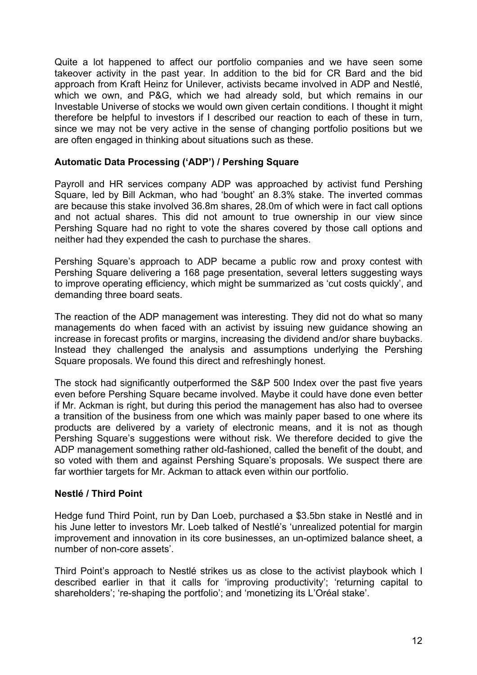Quite a lot happened to affect our portfolio companies and we have seen some takeover activity in the past year. In addition to the bid for CR Bard and the bid approach from Kraft Heinz for Unilever, activists became involved in ADP and Nestlé, which we own, and P&G, which we had already sold, but which remains in our Investable Universe of stocks we would own given certain conditions. I thought it might therefore be helpful to investors if I described our reaction to each of these in turn, since we may not be very active in the sense of changing portfolio positions but we are often engaged in thinking about situations such as these.

## **Automatic Data Processing ('ADP') / Pershing Square**

Payroll and HR services company ADP was approached by activist fund Pershing Square, led by Bill Ackman, who had 'bought' an 8.3% stake. The inverted commas are because this stake involved 36.8m shares, 28.0m of which were in fact call options and not actual shares. This did not amount to true ownership in our view since Pershing Square had no right to vote the shares covered by those call options and neither had they expended the cash to purchase the shares.

Pershing Square's approach to ADP became a public row and proxy contest with Pershing Square delivering a 168 page presentation, several letters suggesting ways to improve operating efficiency, which might be summarized as 'cut costs quickly', and demanding three board seats.

The reaction of the ADP management was interesting. They did not do what so many managements do when faced with an activist by issuing new guidance showing an increase in forecast profits or margins, increasing the dividend and/or share buybacks. Instead they challenged the analysis and assumptions underlying the Pershing Square proposals. We found this direct and refreshingly honest.

The stock had significantly outperformed the S&P 500 Index over the past five years even before Pershing Square became involved. Maybe it could have done even better if Mr. Ackman is right, but during this period the management has also had to oversee a transition of the business from one which was mainly paper based to one where its products are delivered by a variety of electronic means, and it is not as though Pershing Square's suggestions were without risk. We therefore decided to give the ADP management something rather old-fashioned, called the benefit of the doubt, and so voted with them and against Pershing Square's proposals. We suspect there are far worthier targets for Mr. Ackman to attack even within our portfolio.

## **Nestlé / Third Point**

Hedge fund Third Point, run by Dan Loeb, purchased a \$3.5bn stake in Nestlé and in his June letter to investors Mr. Loeb talked of Nestlé's 'unrealized potential for margin improvement and innovation in its core businesses, an un-optimized balance sheet, a number of non-core assets'.

Third Point's approach to Nestlé strikes us as close to the activist playbook which I described earlier in that it calls for 'improving productivity'; 'returning capital to shareholders'; 're-shaping the portfolio'; and 'monetizing its L'Oréal stake'.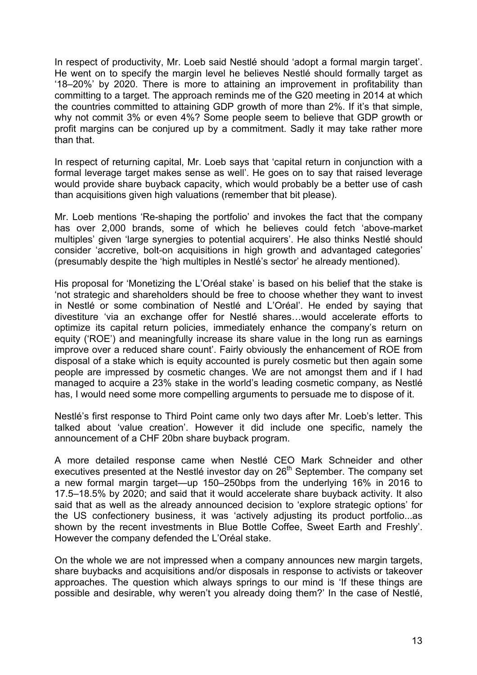In respect of productivity, Mr. Loeb said Nestlé should 'adopt a formal margin target'. He went on to specify the margin level he believes Nestlé should formally target as '18–20%' by 2020. There is more to attaining an improvement in profitability than committing to a target. The approach reminds me of the G20 meeting in 2014 at which the countries committed to attaining GDP growth of more than 2%. If it's that simple, why not commit 3% or even 4%? Some people seem to believe that GDP growth or profit margins can be conjured up by a commitment. Sadly it may take rather more than that.

In respect of returning capital, Mr. Loeb says that 'capital return in conjunction with a formal leverage target makes sense as well'. He goes on to say that raised leverage would provide share buyback capacity, which would probably be a better use of cash than acquisitions given high valuations (remember that bit please).

Mr. Loeb mentions 'Re-shaping the portfolio' and invokes the fact that the company has over 2,000 brands, some of which he believes could fetch 'above-market multiples' given 'large synergies to potential acquirers'. He also thinks Nestlé should consider 'accretive, bolt-on acquisitions in high growth and advantaged categories' (presumably despite the 'high multiples in Nestlé's sector' he already mentioned).

His proposal for 'Monetizing the L'Oréal stake' is based on his belief that the stake is 'not strategic and shareholders should be free to choose whether they want to invest in Nestlé or some combination of Nestlé and L'Oréal'. He ended by saying that divestiture 'via an exchange offer for Nestlé shares…would accelerate efforts to optimize its capital return policies, immediately enhance the company's return on equity ('ROE') and meaningfully increase its share value in the long run as earnings improve over a reduced share count'. Fairly obviously the enhancement of ROE from disposal of a stake which is equity accounted is purely cosmetic but then again some people are impressed by cosmetic changes. We are not amongst them and if I had managed to acquire a 23% stake in the world's leading cosmetic company, as Nestlé has, I would need some more compelling arguments to persuade me to dispose of it.

Nestlé's first response to Third Point came only two days after Mr. Loeb's letter. This talked about 'value creation'. However it did include one specific, namely the announcement of a CHF 20bn share buyback program.

A more detailed response came when Nestlé CEO Mark Schneider and other executives presented at the Nestlé investor day on 26<sup>th</sup> September. The company set a new formal margin target—up 150–250bps from the underlying 16% in 2016 to 17.5–18.5% by 2020; and said that it would accelerate share buyback activity. It also said that as well as the already announced decision to 'explore strategic options' for the US confectionery business, it was 'actively adjusting its product portfolio...as shown by the recent investments in Blue Bottle Coffee, Sweet Earth and Freshly'. However the company defended the L'Oréal stake.

On the whole we are not impressed when a company announces new margin targets, share buybacks and acquisitions and/or disposals in response to activists or takeover approaches. The question which always springs to our mind is 'If these things are possible and desirable, why weren't you already doing them?' In the case of Nestlé,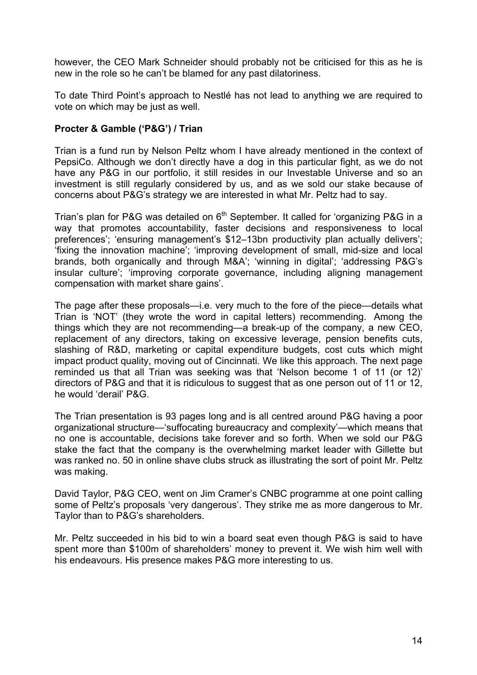however, the CEO Mark Schneider should probably not be criticised for this as he is new in the role so he can't be blamed for any past dilatoriness.

To date Third Point's approach to Nestlé has not lead to anything we are required to vote on which may be just as well.

## **Procter & Gamble ('P&G') / Trian**

Trian is a fund run by Nelson Peltz whom I have already mentioned in the context of PepsiCo. Although we don't directly have a dog in this particular fight, as we do not have any P&G in our portfolio, it still resides in our Investable Universe and so an investment is still regularly considered by us, and as we sold our stake because of concerns about P&G's strategy we are interested in what Mr. Peltz had to say.

Trian's plan for P&G was detailed on 6<sup>th</sup> September. It called for 'organizing P&G in a way that promotes accountability, faster decisions and responsiveness to local preferences'; 'ensuring management's \$12–13bn productivity plan actually delivers'; 'fixing the innovation machine'; 'improving development of small, mid-size and local brands, both organically and through M&A'; 'winning in digital'; 'addressing P&G's insular culture'; 'improving corporate governance, including aligning management compensation with market share gains'.

The page after these proposals—i.e. very much to the fore of the piece—details what Trian is 'NOT' (they wrote the word in capital letters) recommending. Among the things which they are not recommending—a break-up of the company, a new CEO, replacement of any directors, taking on excessive leverage, pension benefits cuts, slashing of R&D, marketing or capital expenditure budgets, cost cuts which might impact product quality, moving out of Cincinnati. We like this approach. The next page reminded us that all Trian was seeking was that 'Nelson become 1 of 11 (or 12)' directors of P&G and that it is ridiculous to suggest that as one person out of 11 or 12, he would 'derail' P&G.

The Trian presentation is 93 pages long and is all centred around P&G having a poor organizational structure—'suffocating bureaucracy and complexity'—which means that no one is accountable, decisions take forever and so forth. When we sold our P&G stake the fact that the company is the overwhelming market leader with Gillette but was ranked no. 50 in online shave clubs struck as illustrating the sort of point Mr. Peltz was making.

David Taylor, P&G CEO, went on Jim Cramer's CNBC programme at one point calling some of Peltz's proposals 'very dangerous'. They strike me as more dangerous to Mr. Taylor than to P&G's shareholders.

Mr. Peltz succeeded in his bid to win a board seat even though P&G is said to have spent more than \$100m of shareholders' money to prevent it. We wish him well with his endeavours. His presence makes P&G more interesting to us.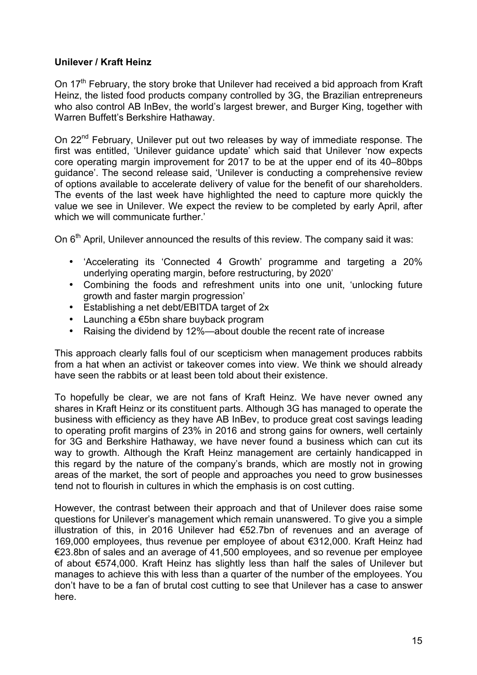## **Unilever / Kraft Heinz**

On 17<sup>th</sup> February, the story broke that Unilever had received a bid approach from Kraft Heinz, the listed food products company controlled by 3G, the Brazilian entrepreneurs who also control AB InBev, the world's largest brewer, and Burger King, together with Warren Buffett's Berkshire Hathaway.

On 22<sup>nd</sup> February, Unilever put out two releases by way of immediate response. The first was entitled, 'Unilever guidance update' which said that Unilever 'now expects core operating margin improvement for 2017 to be at the upper end of its 40–80bps guidance'. The second release said, 'Unilever is conducting a comprehensive review of options available to accelerate delivery of value for the benefit of our shareholders. The events of the last week have highlighted the need to capture more quickly the value we see in Unilever. We expect the review to be completed by early April, after which we will communicate further.'

On 6<sup>th</sup> April, Unilever announced the results of this review. The company said it was:

- 'Accelerating its 'Connected 4 Growth' programme and targeting a 20% underlying operating margin, before restructuring, by 2020'
- Combining the foods and refreshment units into one unit, 'unlocking future growth and faster margin progression'
- Establishing a net debt/EBITDA target of 2x
- Launching a €5bn share buyback program
- Raising the dividend by 12%—about double the recent rate of increase

This approach clearly falls foul of our scepticism when management produces rabbits from a hat when an activist or takeover comes into view. We think we should already have seen the rabbits or at least been told about their existence.

To hopefully be clear, we are not fans of Kraft Heinz. We have never owned any shares in Kraft Heinz or its constituent parts. Although 3G has managed to operate the business with efficiency as they have AB InBev, to produce great cost savings leading to operating profit margins of 23% in 2016 and strong gains for owners, well certainly for 3G and Berkshire Hathaway, we have never found a business which can cut its way to growth. Although the Kraft Heinz management are certainly handicapped in this regard by the nature of the company's brands, which are mostly not in growing areas of the market, the sort of people and approaches you need to grow businesses tend not to flourish in cultures in which the emphasis is on cost cutting.

However, the contrast between their approach and that of Unilever does raise some questions for Unilever's management which remain unanswered. To give you a simple illustration of this, in 2016 Unilever had €52.7bn of revenues and an average of 169,000 employees, thus revenue per employee of about €312,000. Kraft Heinz had €23.8bn of sales and an average of 41,500 employees, and so revenue per employee of about €574,000. Kraft Heinz has slightly less than half the sales of Unilever but manages to achieve this with less than a quarter of the number of the employees. You don't have to be a fan of brutal cost cutting to see that Unilever has a case to answer here.